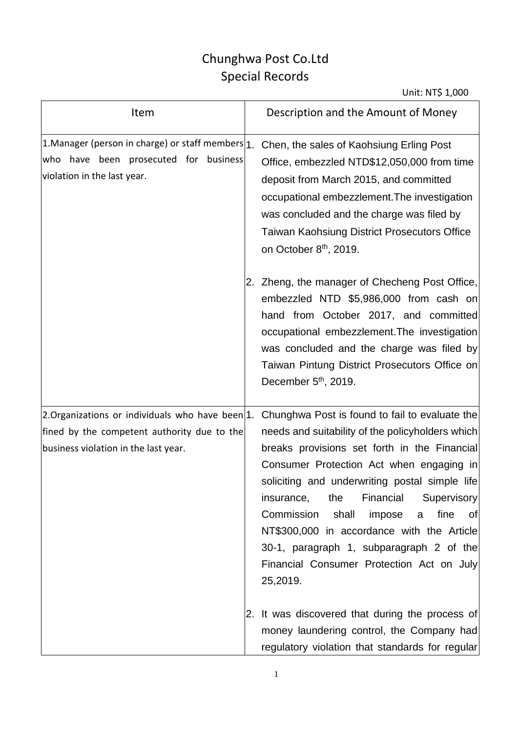## Chunghwa Post Co.Ltd Special Records

| Item                                                                                                                                   | Description and the Amount of Money                                                                                                                                                                                                                                                                                                                                                                                                                                                                       |
|----------------------------------------------------------------------------------------------------------------------------------------|-----------------------------------------------------------------------------------------------------------------------------------------------------------------------------------------------------------------------------------------------------------------------------------------------------------------------------------------------------------------------------------------------------------------------------------------------------------------------------------------------------------|
| 1. Manager (person in charge) or staff members $1$ .<br>who have been prosecuted for business<br>violation in the last year.           | Chen, the sales of Kaohsiung Erling Post<br>Office, embezzled NTD\$12,050,000 from time<br>deposit from March 2015, and committed<br>occupational embezzlement. The investigation<br>was concluded and the charge was filed by<br><b>Taiwan Kaohsiung District Prosecutors Office</b><br>on October 8 <sup>th</sup> , 2019.                                                                                                                                                                               |
|                                                                                                                                        | 2. Zheng, the manager of Checheng Post Office,<br>embezzled NTD \$5,986,000 from cash on<br>hand from October 2017, and committed<br>occupational embezzlement. The investigation<br>was concluded and the charge was filed by<br>Taiwan Pintung District Prosecutors Office on<br>December 5 <sup>th</sup> , 2019.                                                                                                                                                                                       |
| 2.Organizations or individuals who have been 1.<br>fined by the competent authority due to the<br>business violation in the last year. | Chunghwa Post is found to fail to evaluate the<br>needs and suitability of the policyholders which<br>breaks provisions set forth in the Financial<br>Consumer Protection Act when engaging in<br>soliciting and underwriting postal simple life<br>Financial<br>Supervisory<br>insurance,<br>the<br>Commission<br>fine<br>shall<br>impose<br>ofl<br>a<br>NT\$300,000 in accordance with the Article<br>30-1, paragraph 1, subparagraph 2 of the<br>Financial Consumer Protection Act on July<br>25,2019. |
|                                                                                                                                        | 2. It was discovered that during the process of<br>money laundering control, the Company had<br>regulatory violation that standards for regular                                                                                                                                                                                                                                                                                                                                                           |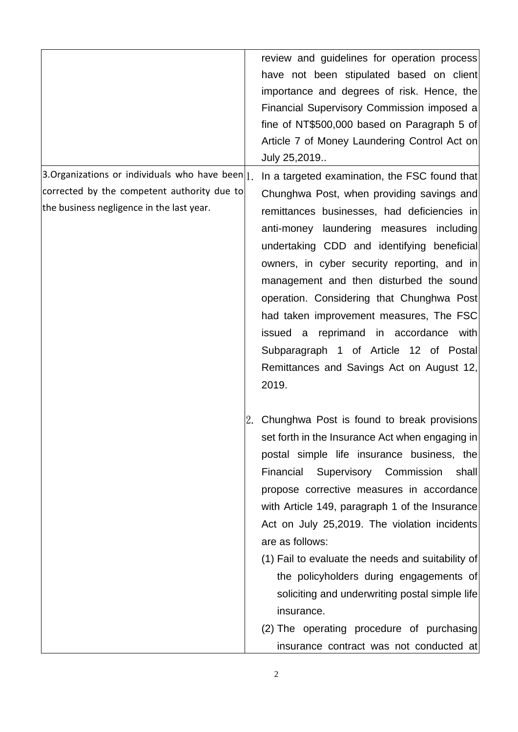|                                                                                                                                                 | review and guidelines for operation process<br>have not been stipulated based on client<br>importance and degrees of risk. Hence, the<br>Financial Supervisory Commission imposed a<br>fine of NT\$500,000 based on Paragraph 5 of<br>Article 7 of Money Laundering Control Act on<br>July 25,2019                                                                                                                                                                                                                                                                                                                       |
|-------------------------------------------------------------------------------------------------------------------------------------------------|--------------------------------------------------------------------------------------------------------------------------------------------------------------------------------------------------------------------------------------------------------------------------------------------------------------------------------------------------------------------------------------------------------------------------------------------------------------------------------------------------------------------------------------------------------------------------------------------------------------------------|
| 3. Organizations or individuals who have been $ _1$<br>corrected by the competent authority due to<br>the business negligence in the last year. | In a targeted examination, the FSC found that<br>Chunghwa Post, when providing savings and<br>remittances businesses, had deficiencies in<br>anti-money laundering measures including<br>undertaking CDD and identifying beneficial<br>owners, in cyber security reporting, and in<br>management and then disturbed the sound<br>operation. Considering that Chunghwa Post<br>had taken improvement measures, The FSC<br>issued a reprimand in accordance with<br>Subparagraph 1 of Article 12 of Postal<br>Remittances and Savings Act on August 12,<br>2019.                                                           |
|                                                                                                                                                 | 2. Chunghwa Post is found to break provisions<br>set forth in the Insurance Act when engaging in<br>postal simple life insurance business, the<br>Supervisory Commission<br>Financial<br>shall<br>propose corrective measures in accordance<br>with Article 149, paragraph 1 of the Insurance<br>Act on July 25,2019. The violation incidents<br>are as follows:<br>(1) Fail to evaluate the needs and suitability of<br>the policyholders during engagements of<br>soliciting and underwriting postal simple life<br>insurance.<br>(2) The operating procedure of purchasing<br>insurance contract was not conducted at |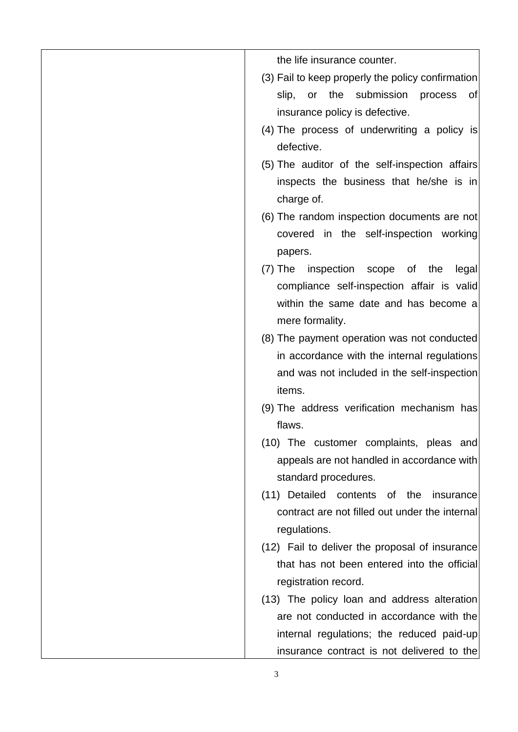the life insurance counter.

- (3) Fail to keep properly the policy confirmation slip, or the submission process of insurance policy is defective.
- (4) The process of underwriting a policy is defective.
- (5) The auditor of the self-inspection affairs inspects the business that he/she is in charge of.
- (6) The random inspection documents are not covered in the self-inspection working papers.
- (7) The inspection scope of the legal compliance self-inspection affair is valid within the same date and has become a mere formality.
- (8) The payment operation was not conducted in accordance with the internal regulations and was not included in the self-inspection items.
- (9) The address verification mechanism has flaws.
- (10) The customer complaints, pleas and appeals are not handled in accordance with standard procedures.
- (11) Detailed contents of the insurance contract are not filled out under the internal regulations.
- (12) Fail to deliver the proposal of insurance that has not been entered into the official registration record.
- (13) The policy loan and address alteration are not conducted in accordance with the internal regulations; the reduced paid-up insurance contract is not delivered to the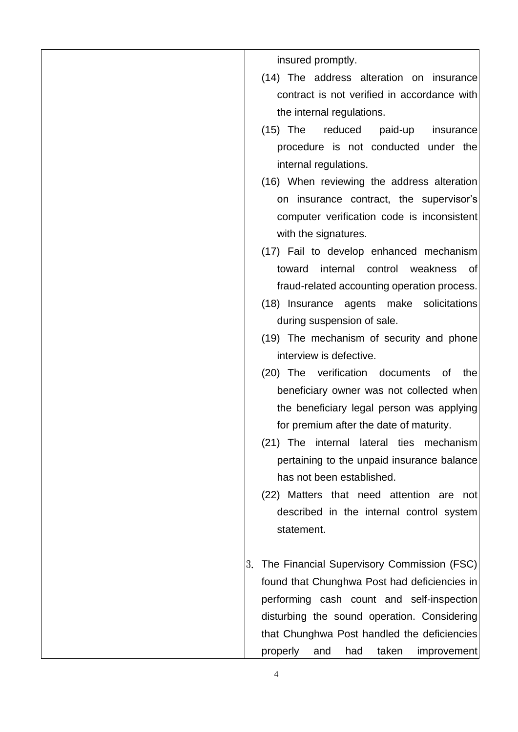insured promptly.

- (14) The address alteration on insurance contract is not verified in accordance with the internal regulations.
- (15) The reduced paid-up insurance procedure is not conducted under the internal regulations.
- (16) When reviewing the address alteration on insurance contract, the supervisor's computer verification code is inconsistent with the signatures.
- (17) Fail to develop enhanced mechanism toward internal control weakness of fraud-related accounting operation process.
- (18) Insurance agents make solicitations during suspension of sale.
- (19) The mechanism of security and phone interview is defective.
- (20) The verification documents of the beneficiary owner was not collected when the beneficiary legal person was applying for premium after the date of maturity.
- (21) The internal lateral ties mechanism pertaining to the unpaid insurance balance has not been established.
- (22) Matters that need attention are not described in the internal control system statement.
- 3. The Financial Supervisory Commission (FSC) found that Chunghwa Post had deficiencies in performing cash count and self-inspection disturbing the sound operation. Considering that Chunghwa Post handled the deficiencies properly and had taken improvement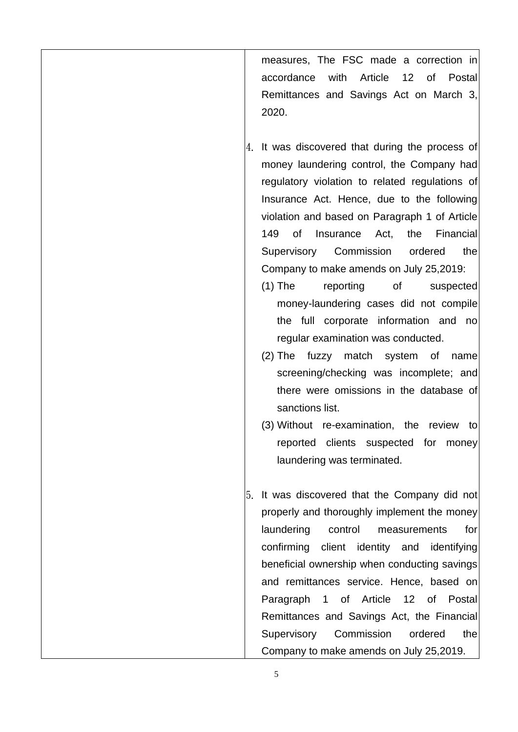measures, The FSC made a correction in accordance with Article 12 of Postal Remittances and Savings Act on March 3, 2020.

- 4. It was discovered that during the process of money laundering control, the Company had regulatory violation to related regulations of Insurance Act. Hence, due to the following violation and based on Paragraph 1 of Article 149 of Insurance Act, the Financial Supervisory Commission ordered the Company to make amends on July 25,2019:
	- (1) The reporting of suspected money-laundering cases did not compile the full corporate information and no regular examination was conducted.
	- (2) The fuzzy match system of name screening/checking was incomplete; and there were omissions in the database of sanctions list.
	- (3) Without re-examination, the review to reported clients suspected for money laundering was terminated.
- 5. It was discovered that the Company did not properly and thoroughly implement the money laundering control measurements for confirming client identity and identifying beneficial ownership when conducting savings and remittances service. Hence, based on Paragraph 1 of Article 12 of Postal Remittances and Savings Act, the Financial Supervisory Commission ordered the Company to make amends on July 25,2019.